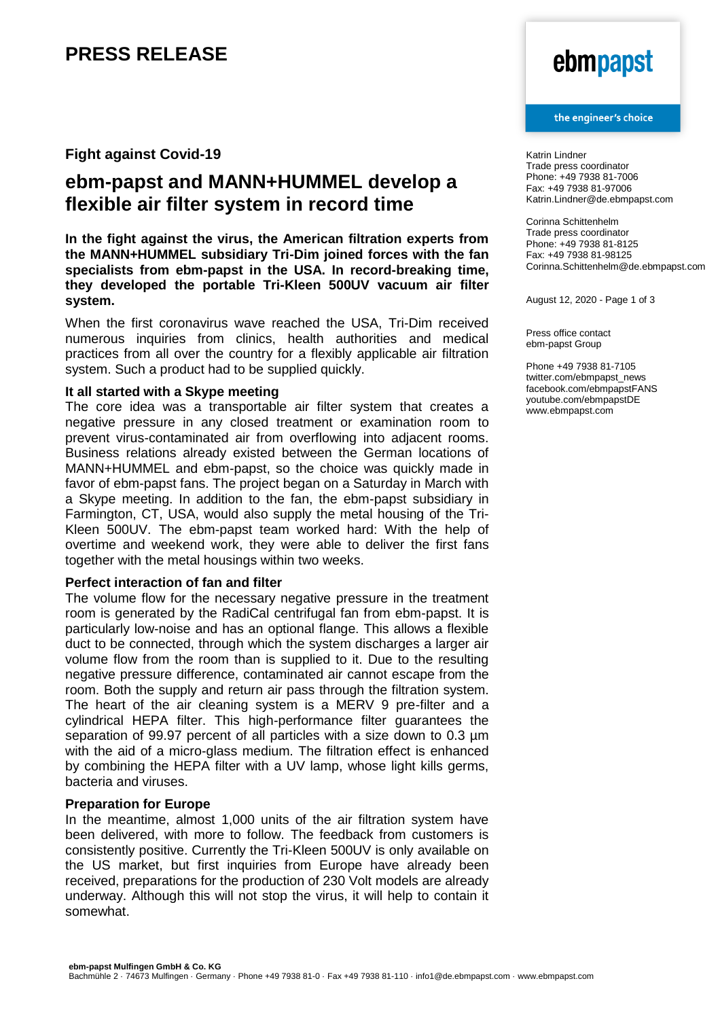## **PRESS RELEASE**

### **Fight against Covid-19**

### **ebm-papst and MANN+HUMMEL develop a flexible air filter system in record time**

**In the fight against the virus, the American filtration experts from the MANN+HUMMEL subsidiary Tri-Dim joined forces with the fan specialists from ebm-papst in the USA. In record-breaking time, they developed the portable Tri-Kleen 500UV vacuum air filter system.**

When the first coronavirus wave reached the USA, Tri-Dim received numerous inquiries from clinics, health authorities and medical practices from all over the country for a flexibly applicable air filtration system. Such a product had to be supplied quickly.

### **It all started with a Skype meeting**

The core idea was a transportable air filter system that creates a negative pressure in any closed treatment or examination room to prevent virus-contaminated air from overflowing into adjacent rooms. Business relations already existed between the German locations of MANN+HUMMEL and ebm-papst, so the choice was quickly made in favor of ebm-papst fans. The project began on a Saturday in March with a Skype meeting. In addition to the fan, the ebm-papst subsidiary in Farmington, CT, USA, would also supply the metal housing of the Tri-Kleen 500UV. The ebm-papst team worked hard: With the help of overtime and weekend work, they were able to deliver the first fans together with the metal housings within two weeks.

### **Perfect interaction of fan and filter**

The volume flow for the necessary negative pressure in the treatment room is generated by the RadiCal centrifugal fan from ebm-papst. It is particularly low-noise and has an optional flange. This allows a flexible duct to be connected, through which the system discharges a larger air volume flow from the room than is supplied to it. Due to the resulting negative pressure difference, contaminated air cannot escape from the room. Both the supply and return air pass through the filtration system. The heart of the air cleaning system is a MERV 9 pre-filter and a cylindrical HEPA filter. This high-performance filter guarantees the separation of 99.97 percent of all particles with a size down to 0.3  $\mu$ m with the aid of a micro-glass medium. The filtration effect is enhanced by combining the HEPA filter with a UV lamp, whose light kills germs, bacteria and viruses.

#### **Preparation for Europe**

In the meantime, almost 1,000 units of the air filtration system have been delivered, with more to follow. The feedback from customers is consistently positive. Currently the Tri-Kleen 500UV is only available on the US market, but first inquiries from Europe have already been received, preparations for the production of 230 Volt models are already underway. Although this will not stop the virus, it will help to contain it somewhat.

# ebmpapst

#### the engineer's choice

Katrin Lindner Trade press coordinator Phone: +49 7938 81-7006 Fax: +49 7938 81-97006 Katrin.Lindner@de.ebmpapst.com

Corinna Schittenhelm Trade press coordinator Phone: +49 7938 81-8125 Fax: +49 7938 81-98125 Corinna.Schittenhelm@de.ebmpapst.com

August 12, 2020 - Page 1 of 3

Press office contact ebm-papst Group

Phone +49 7938 81-7105 twitter.com/ebmpapst\_news facebook.com/ebmpapstFANS youtube.com/ebmpapstDE www.ebmpapst.com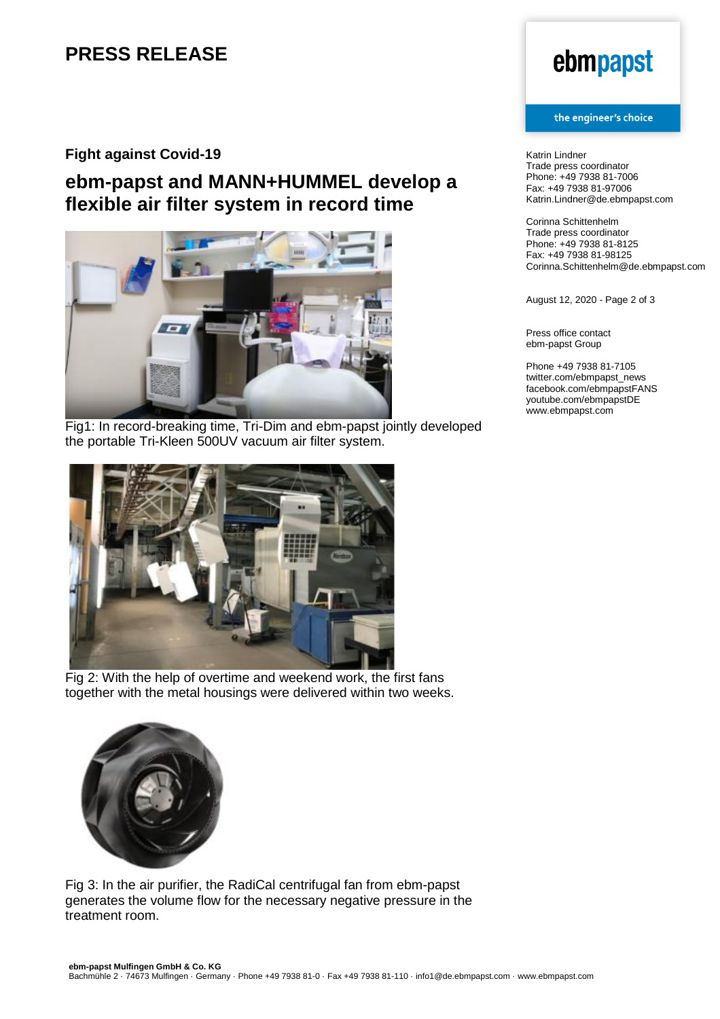# **PRESS RELEASE**

### **Fight against Covid-19**

## **ebm-papst and MANN+HUMMEL develop a flexible air filter system in record time**



Fig1: In record-breaking time, Tri-Dim and ebm-papst jointly developed the portable Tri-Kleen 500UV vacuum air filter system.



Fig 2: With the help of overtime and weekend work, the first fans together with the metal housings were delivered within two weeks.



Fig 3: In the air purifier, the RadiCal centrifugal fan from ebm-papst generates the volume flow for the necessary negative pressure in the treatment room.

# ebmpapst

#### the engineer's choice

Katrin Lindner Trade press coordinator Phone: +49 7938 81-7006 Fax: +49 7938 81-97006 Katrin.Lindner@de.ebmpapst.com

Corinna Schittenhelm Trade press coordinator Phone: +49 7938 81-8125 Fax: +49 7938 81-98125 Corinna.Schittenhelm@de.ebmpapst.com

August 12, 2020 - Page 2 of 3

Press office contact ebm-papst Group

Phone +49 7938 81-7105 twitter.com/ebmpapst\_news facebook.com/ebmpapstFANS youtube.com/ebmpapstDE www.ebmpapst.com